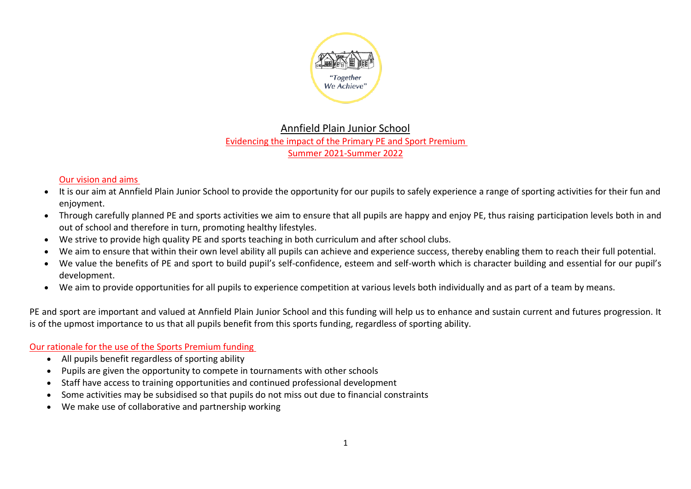

# Annfield Plain Junior School Evidencing the impact of the Primary PE and Sport Premium Summer 2021-Summer 2022

## Our vision and aims

- It is our aim at Annfield Plain Junior School to provide the opportunity for our pupils to safely experience a range of sporting activities for their fun and enjoyment.
- Through carefully planned PE and sports activities we aim to ensure that all pupils are happy and enjoy PE, thus raising participation levels both in and out of school and therefore in turn, promoting healthy lifestyles.
- We strive to provide high quality PE and sports teaching in both curriculum and after school clubs.
- We aim to ensure that within their own level ability all pupils can achieve and experience success, thereby enabling them to reach their full potential.
- We value the benefits of PE and sport to build pupil's self-confidence, esteem and self-worth which is character building and essential for our pupil's development.
- We aim to provide opportunities for all pupils to experience competition at various levels both individually and as part of a team by means.

PE and sport are important and valued at Annfield Plain Junior School and this funding will help us to enhance and sustain current and futures progression. It is of the upmost importance to us that all pupils benefit from this sports funding, regardless of sporting ability.

## Our rationale for the use of the Sports Premium funding

- All pupils benefit regardless of sporting ability
- Pupils are given the opportunity to compete in tournaments with other schools
- Staff have access to training opportunities and continued professional development
- Some activities may be subsidised so that pupils do not miss out due to financial constraints
- We make use of collaborative and partnership working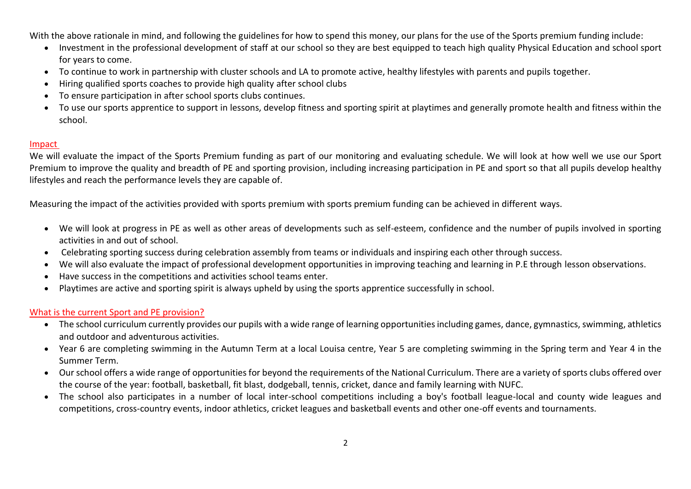With the above rationale in mind, and following the guidelines for how to spend this money, our plans for the use of the Sports premium funding include:

- Investment in the professional development of staff at our school so they are best equipped to teach high quality Physical Education and school sport for years to come.
- To continue to work in partnership with cluster schools and LA to promote active, healthy lifestyles with parents and pupils together.
- Hiring qualified sports coaches to provide high quality after school clubs
- To ensure participation in after school sports clubs continues.
- To use our sports apprentice to support in lessons, develop fitness and sporting spirit at playtimes and generally promote health and fitness within the school.

#### Impact

We will evaluate the impact of the Sports Premium funding as part of our monitoring and evaluating schedule. We will look at how well we use our Sport Premium to improve the quality and breadth of PE and sporting provision, including increasing participation in PE and sport so that all pupils develop healthy lifestyles and reach the performance levels they are capable of.

Measuring the impact of the activities provided with sports premium with sports premium funding can be achieved in different ways.

- We will look at progress in PE as well as other areas of developments such as self-esteem, confidence and the number of pupils involved in sporting activities in and out of school.
- Celebrating sporting success during celebration assembly from teams or individuals and inspiring each other through success.
- We will also evaluate the impact of professional development opportunities in improving teaching and learning in P.E through lesson observations.
- Have success in the competitions and activities school teams enter.
- Playtimes are active and sporting spirit is always upheld by using the sports apprentice successfully in school.

### What is the current Sport and PE provision?

- The school curriculum currently provides our pupils with a wide range of learning opportunities including games, dance, gymnastics, swimming, athletics and outdoor and adventurous activities.
- Year 6 are completing swimming in the Autumn Term at a local Louisa centre, Year 5 are completing swimming in the Spring term and Year 4 in the Summer Term.
- Our school offers a wide range of opportunities for beyond the requirements of the National Curriculum. There are a variety of sports clubs offered over the course of the year: football, basketball, fit blast, dodgeball, tennis, cricket, dance and family learning with NUFC.
- The school also participates in a number of local inter-school competitions including a boy's football league-local and county wide leagues and competitions, cross-country events, indoor athletics, cricket leagues and basketball events and other one-off events and tournaments.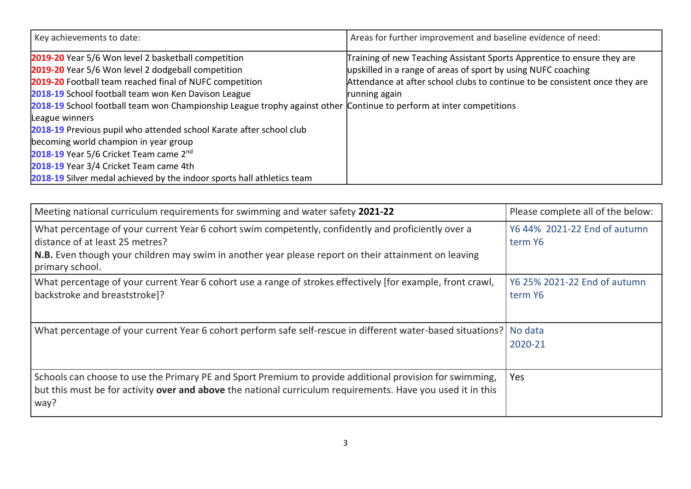| Key achievements to date:                                                                                                                                                                                                                                                                                                                                                                                                                                                                                                                                                                                                                          | Areas for further improvement and baseline evidence of need:                                                                                                                                                                             |
|----------------------------------------------------------------------------------------------------------------------------------------------------------------------------------------------------------------------------------------------------------------------------------------------------------------------------------------------------------------------------------------------------------------------------------------------------------------------------------------------------------------------------------------------------------------------------------------------------------------------------------------------------|------------------------------------------------------------------------------------------------------------------------------------------------------------------------------------------------------------------------------------------|
| 2019-20 Year 5/6 Won level 2 basketball competition<br>2019-20 Year 5/6 Won level 2 dodgeball competition<br>2019-20 Football team reached final of NUFC competition<br>2018-19 School football team won Ken Davison League<br>2018-19 School football team won Championship League trophy against other Continue to perform at inter competitions<br>League winners<br>2018-19 Previous pupil who attended school Karate after school club<br>becoming world champion in year group<br>2018-19 Year 5/6 Cricket Team came 2nd<br>2018-19 Year 3/4 Cricket Team came 4th<br>2018-19 Silver medal achieved by the indoor sports hall athletics team | Training of new Teaching Assistant Sports Apprentice to ensure they are<br>upskilled in a range of areas of sport by using NUFC coaching<br>Attendance at after school clubs to continue to be consistent once they are<br>running again |

| Meeting national curriculum requirements for swimming and water safety 2021-22                                                                                                                                                                                    | Please complete all of the below:       |
|-------------------------------------------------------------------------------------------------------------------------------------------------------------------------------------------------------------------------------------------------------------------|-----------------------------------------|
| What percentage of your current Year 6 cohort swim competently, confidently and proficiently over a<br>distance of at least 25 metres?<br>N.B. Even though your children may swim in another year please report on their attainment on leaving<br>primary school. | Y6 44% 2021-22 End of autumn<br>term Y6 |
| What percentage of your current Year 6 cohort use a range of strokes effectively [for example, front crawl,<br>backstroke and breaststroke]?                                                                                                                      | Y6 25% 2021-22 End of autumn<br>term Y6 |
| What percentage of your current Year 6 cohort perform safe self-rescue in different water-based situations?                                                                                                                                                       | No data<br>2020-21                      |
| Schools can choose to use the Primary PE and Sport Premium to provide additional provision for swimming,<br>but this must be for activity over and above the national curriculum requirements. Have you used it in this<br>way?                                   | <b>Yes</b>                              |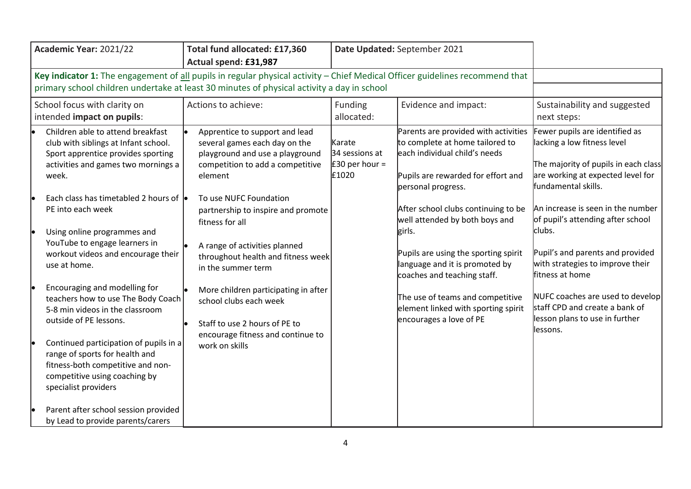| Academic Year: 2021/22                                                                                                                                                                                                                                                                                                                                                                                                                                                                                                                                                                                                                                                     | Total fund allocated: £17,360<br>Actual spend: £31,987                                                                                                                                                                                                                                                                                                                                                                                                                                      | Date Updated: September 2021                        |                                                                                                                                                                                                                                                                                                                                                                                                                                                                        |                                                                                                                                                                                                                                                                                                                                                                                                                                                                       |
|----------------------------------------------------------------------------------------------------------------------------------------------------------------------------------------------------------------------------------------------------------------------------------------------------------------------------------------------------------------------------------------------------------------------------------------------------------------------------------------------------------------------------------------------------------------------------------------------------------------------------------------------------------------------------|---------------------------------------------------------------------------------------------------------------------------------------------------------------------------------------------------------------------------------------------------------------------------------------------------------------------------------------------------------------------------------------------------------------------------------------------------------------------------------------------|-----------------------------------------------------|------------------------------------------------------------------------------------------------------------------------------------------------------------------------------------------------------------------------------------------------------------------------------------------------------------------------------------------------------------------------------------------------------------------------------------------------------------------------|-----------------------------------------------------------------------------------------------------------------------------------------------------------------------------------------------------------------------------------------------------------------------------------------------------------------------------------------------------------------------------------------------------------------------------------------------------------------------|
| Key indicator 1: The engagement of all pupils in regular physical activity - Chief Medical Officer guidelines recommend that<br>primary school children undertake at least 30 minutes of physical activity a day in school                                                                                                                                                                                                                                                                                                                                                                                                                                                 |                                                                                                                                                                                                                                                                                                                                                                                                                                                                                             |                                                     |                                                                                                                                                                                                                                                                                                                                                                                                                                                                        |                                                                                                                                                                                                                                                                                                                                                                                                                                                                       |
| School focus with clarity on<br>intended impact on pupils:                                                                                                                                                                                                                                                                                                                                                                                                                                                                                                                                                                                                                 | Actions to achieve:                                                                                                                                                                                                                                                                                                                                                                                                                                                                         | Funding<br>allocated:                               | Evidence and impact:                                                                                                                                                                                                                                                                                                                                                                                                                                                   | Sustainability and suggested<br>next steps:                                                                                                                                                                                                                                                                                                                                                                                                                           |
| Children able to attend breakfast<br>club with siblings at Infant school.<br>Sport apprentice provides sporting<br>activities and games two mornings a<br>week.<br>Each class has timetabled 2 hours of $\bullet$<br>PE into each week<br>Using online programmes and<br>YouTube to engage learners in<br>workout videos and encourage their<br>use at home.<br>Encouraging and modelling for<br>teachers how to use The Body Coach<br>5-8 min videos in the classroom<br>outside of PE lessons.<br>Continued participation of pupils in a<br>range of sports for health and<br>fitness-both competitive and non-<br>competitive using coaching by<br>specialist providers | Apprentice to support and lead<br>several games each day on the<br>playground and use a playground<br>competition to add a competitive<br>element<br>To use NUFC Foundation<br>partnership to inspire and promote<br>fitness for all<br>A range of activities planned<br>throughout health and fitness week<br>in the summer term<br>More children participating in after<br>school clubs each week<br>Staff to use 2 hours of PE to<br>encourage fitness and continue to<br>work on skills | Karate<br>34 sessions at<br>E30 per hour =<br>£1020 | Parents are provided with activities<br>to complete at home tailored to<br>each individual child's needs<br>Pupils are rewarded for effort and<br>personal progress.<br>After school clubs continuing to be<br>well attended by both boys and<br>girls.<br>Pupils are using the sporting spirit<br>language and it is promoted by<br>coaches and teaching staff.<br>The use of teams and competitive<br>element linked with sporting spirit<br>encourages a love of PE | Fewer pupils are identified as<br>lacking a low fitness level<br>The majority of pupils in each class<br>are working at expected level for<br>fundamental skills.<br>An increase is seen in the number<br>of pupil's attending after school<br>clubs.<br>Pupil's and parents and provided<br>with strategies to improve their<br>lfitness at home<br>NUFC coaches are used to develop<br>staff CPD and create a bank of<br>lesson plans to use in further<br>lessons. |
| Parent after school session provided<br>by Lead to provide parents/carers                                                                                                                                                                                                                                                                                                                                                                                                                                                                                                                                                                                                  |                                                                                                                                                                                                                                                                                                                                                                                                                                                                                             |                                                     |                                                                                                                                                                                                                                                                                                                                                                                                                                                                        |                                                                                                                                                                                                                                                                                                                                                                                                                                                                       |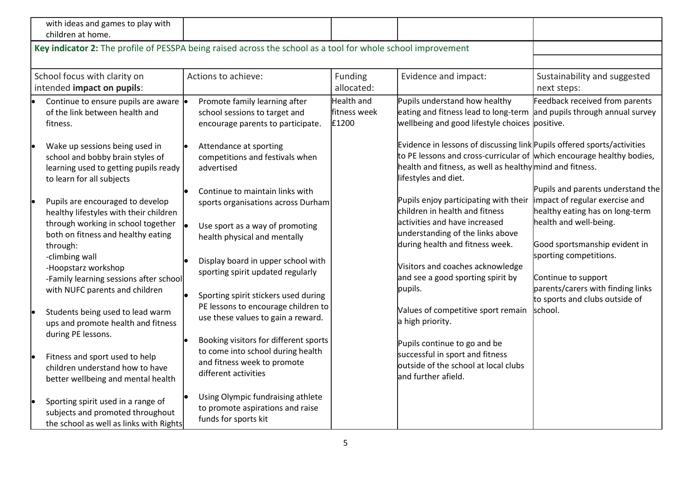| with ideas and games to play with<br>children at home.                                                                                                                                                                                                                                                                                                                                                                    |                                                                                                                                                                                                                                                                                                                                                                                                                        |                                     |                                                                                                                                                                                                                                                                                                                                                                                                  |                                                                                                                                                                                                                                                                                                      |
|---------------------------------------------------------------------------------------------------------------------------------------------------------------------------------------------------------------------------------------------------------------------------------------------------------------------------------------------------------------------------------------------------------------------------|------------------------------------------------------------------------------------------------------------------------------------------------------------------------------------------------------------------------------------------------------------------------------------------------------------------------------------------------------------------------------------------------------------------------|-------------------------------------|--------------------------------------------------------------------------------------------------------------------------------------------------------------------------------------------------------------------------------------------------------------------------------------------------------------------------------------------------------------------------------------------------|------------------------------------------------------------------------------------------------------------------------------------------------------------------------------------------------------------------------------------------------------------------------------------------------------|
|                                                                                                                                                                                                                                                                                                                                                                                                                           | Key indicator 2: The profile of PESSPA being raised across the school as a tool for whole school improvement                                                                                                                                                                                                                                                                                                           |                                     |                                                                                                                                                                                                                                                                                                                                                                                                  |                                                                                                                                                                                                                                                                                                      |
| School focus with clarity on<br>intended impact on pupils:                                                                                                                                                                                                                                                                                                                                                                | Actions to achieve:                                                                                                                                                                                                                                                                                                                                                                                                    | Funding<br>allocated:               | Evidence and impact:                                                                                                                                                                                                                                                                                                                                                                             | Sustainability and suggested<br>next steps:                                                                                                                                                                                                                                                          |
| Continue to ensure pupils are aware  <br>of the link between health and<br>fitness.                                                                                                                                                                                                                                                                                                                                       | Promote family learning after<br>school sessions to target and<br>encourage parents to participate.                                                                                                                                                                                                                                                                                                                    | Health and<br>fitness week<br>£1200 | Pupils understand how healthy<br>eating and fitness lead to long-term<br>wellbeing and good lifestyle choices positive.                                                                                                                                                                                                                                                                          | Feedback received from parents<br>and pupils through annual survey                                                                                                                                                                                                                                   |
| Wake up sessions being used in<br>school and bobby brain styles of<br>learning used to getting pupils ready<br>to learn for all subjects                                                                                                                                                                                                                                                                                  | Attendance at sporting<br>competitions and festivals when<br>advertised                                                                                                                                                                                                                                                                                                                                                |                                     | Evidence in lessons of discussing link Pupils offered sports/activities<br>to PE lessons and cross-curricular of which encourage healthy bodies,<br>health and fitness, as well as healthy mind and fitness.<br>lifestyles and diet.                                                                                                                                                             |                                                                                                                                                                                                                                                                                                      |
| Pupils are encouraged to develop<br>healthy lifestyles with their children<br>through working in school together<br>both on fitness and healthy eating<br>through:<br>-climbing wall<br>-Hoopstarz workshop<br>-Family learning sessions after school<br>with NUFC parents and children<br>Students being used to lead warm<br>ups and promote health and fitness<br>during PE lessons.<br>Fitness and sport used to help | Continue to maintain links with<br>sports organisations across Durham<br>Use sport as a way of promoting<br>health physical and mentally<br>Display board in upper school with<br>sporting spirit updated regularly<br>Sporting spirit stickers used during<br>PE lessons to encourage children to<br>use these values to gain a reward.<br>Booking visitors for different sports<br>to come into school during health |                                     | Pupils enjoy participating with their<br>children in health and fitness<br>activities and have increased<br>understanding of the links above<br>during health and fitness week.<br>Visitors and coaches acknowledge<br>and see a good sporting spirit by<br>pupils.<br>Values of competitive sport remain<br>a high priority.<br>Pupils continue to go and be<br>successful in sport and fitness | Pupils and parents understand the<br>impact of regular exercise and<br>healthy eating has on long-term<br>health and well-being.<br>Good sportsmanship evident in<br>sporting competitions.<br>Continue to support<br>parents/carers with finding links<br>to sports and clubs outside of<br>school. |
| children understand how to have<br>better wellbeing and mental health<br>Sporting spirit used in a range of<br>subjects and promoted throughout<br>the school as well as links with Rights                                                                                                                                                                                                                                | and fitness week to promote<br>different activities<br>Using Olympic fundraising athlete<br>to promote aspirations and raise<br>funds for sports kit                                                                                                                                                                                                                                                                   |                                     | outside of the school at local clubs<br>and further afield.                                                                                                                                                                                                                                                                                                                                      |                                                                                                                                                                                                                                                                                                      |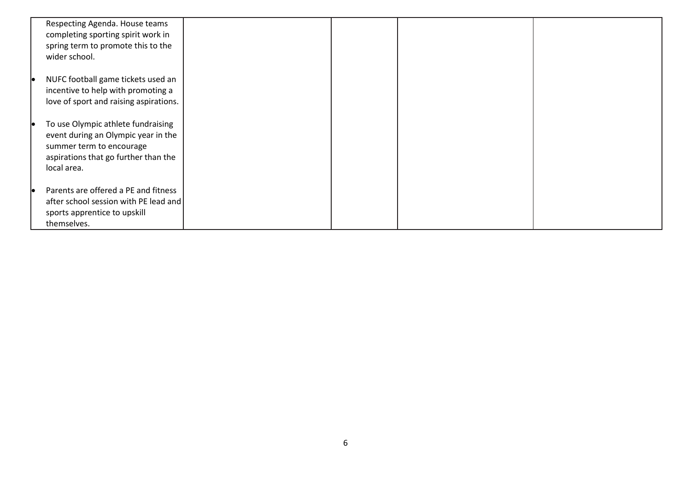| Respecting Agenda. House teams<br>completing sporting spirit work in<br>spring term to promote this to the<br>wider school.                                  |  |  |
|--------------------------------------------------------------------------------------------------------------------------------------------------------------|--|--|
| NUFC football game tickets used an<br>incentive to help with promoting a<br>love of sport and raising aspirations.                                           |  |  |
| To use Olympic athlete fundraising<br>event during an Olympic year in the<br>summer term to encourage<br>aspirations that go further than the<br>local area. |  |  |
| Parents are offered a PE and fitness<br>after school session with PE lead and<br>sports apprentice to upskill<br>themselves.                                 |  |  |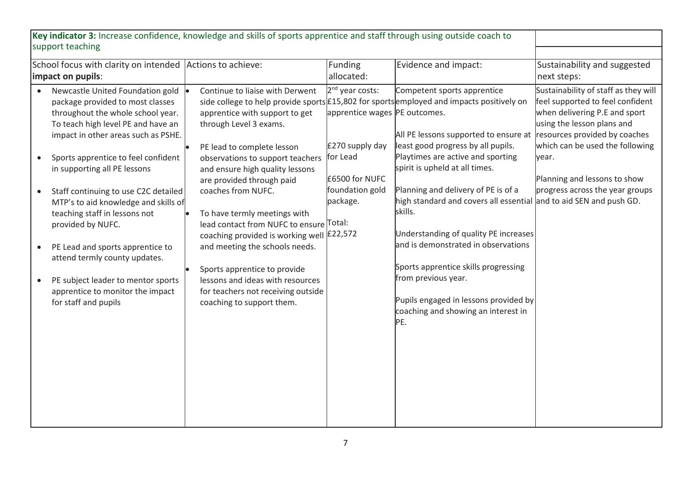| Key indicator 3: Increase confidence, knowledge and skills of sports apprentice and staff through using outside coach to                                                                                                                                                                                                                                                                                                                                                                                                                                                   |                                                                                                                                                                                                                                                                                                                                                                                                                                                                                                                                                      |                                                                                                                                              |                                                                                                                                                                                                                                                                                                                                                                                                                                                                                                                                                                                                                                              |                                                                                                                                                                                                                                                                                         |
|----------------------------------------------------------------------------------------------------------------------------------------------------------------------------------------------------------------------------------------------------------------------------------------------------------------------------------------------------------------------------------------------------------------------------------------------------------------------------------------------------------------------------------------------------------------------------|------------------------------------------------------------------------------------------------------------------------------------------------------------------------------------------------------------------------------------------------------------------------------------------------------------------------------------------------------------------------------------------------------------------------------------------------------------------------------------------------------------------------------------------------------|----------------------------------------------------------------------------------------------------------------------------------------------|----------------------------------------------------------------------------------------------------------------------------------------------------------------------------------------------------------------------------------------------------------------------------------------------------------------------------------------------------------------------------------------------------------------------------------------------------------------------------------------------------------------------------------------------------------------------------------------------------------------------------------------------|-----------------------------------------------------------------------------------------------------------------------------------------------------------------------------------------------------------------------------------------------------------------------------------------|
| support teaching                                                                                                                                                                                                                                                                                                                                                                                                                                                                                                                                                           |                                                                                                                                                                                                                                                                                                                                                                                                                                                                                                                                                      |                                                                                                                                              |                                                                                                                                                                                                                                                                                                                                                                                                                                                                                                                                                                                                                                              |                                                                                                                                                                                                                                                                                         |
| School focus with clarity on intended Actions to achieve:<br>impact on pupils:                                                                                                                                                                                                                                                                                                                                                                                                                                                                                             |                                                                                                                                                                                                                                                                                                                                                                                                                                                                                                                                                      | Funding<br>allocated:                                                                                                                        | Evidence and impact:                                                                                                                                                                                                                                                                                                                                                                                                                                                                                                                                                                                                                         | Sustainability and suggested<br>next steps:                                                                                                                                                                                                                                             |
| Newcastle United Foundation gold<br>package provided to most classes<br>throughout the whole school year.<br>To teach high level PE and have an<br>impact in other areas such as PSHE.<br>Sports apprentice to feel confident<br>in supporting all PE lessons<br>Staff continuing to use C2C detailed<br>MTP's to aid knowledge and skills of<br>teaching staff in lessons not<br>provided by NUFC.<br>PE Lead and sports apprentice to<br>attend termly county updates.<br>PE subject leader to mentor sports<br>apprentice to monitor the impact<br>for staff and pupils | Continue to liaise with Derwent<br>apprentice with support to get<br>through Level 3 exams.<br>PE lead to complete lesson<br>observations to support teachers<br>and ensure high quality lessons<br>are provided through paid<br>coaches from NUFC.<br>To have termly meetings with<br>lead contact from NUFC to ensure Total:<br>coaching provided is working well £22,572<br>and meeting the schools needs.<br>Sports apprentice to provide<br>lessons and ideas with resources<br>for teachers not receiving outside<br>coaching to support them. | 2 <sup>nd</sup> year costs:<br>apprentice wages PE outcomes.<br>£270 supply day<br>for Lead<br>£6500 for NUFC<br>foundation gold<br>package. | Competent sports apprentice<br>side college to help provide sports £15,802 for sports employed and impacts positively on<br>All PE lessons supported to ensure at<br>least good progress by all pupils.<br>Playtimes are active and sporting<br>spirit is upheld at all times.<br>Planning and delivery of PE is of a<br>high standard and covers all essential and to aid SEN and push GD.<br>skills.<br>Understanding of quality PE increases<br>and is demonstrated in observations<br>Sports apprentice skills progressing<br>from previous year.<br>Pupils engaged in lessons provided by<br>coaching and showing an interest in<br>PE. | Sustainability of staff as they will<br>feel supported to feel confident<br>when delivering P.E and sport<br>using the lesson plans and<br>resources provided by coaches<br>which can be used the following<br>year.<br>Planning and lessons to show<br>progress across the year groups |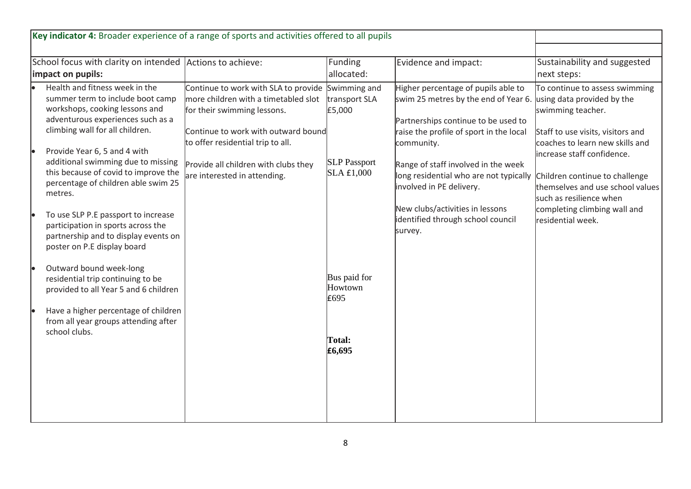| School focus with clarity on intended Actions to achieve:<br>impact on pupils:                                                                                                                                                                                                                                                                                                                                                                                                                                                                                                                                                                                                                             |                                                                                                                                                                                                                                                                              | Funding<br>allocated:                                                                                               | Evidence and impact:                                                                                                                                                                                                                                                                                                                                                        | Sustainability and suggested<br>next steps:                                                                                                                                                                                                                                                                                                   |
|------------------------------------------------------------------------------------------------------------------------------------------------------------------------------------------------------------------------------------------------------------------------------------------------------------------------------------------------------------------------------------------------------------------------------------------------------------------------------------------------------------------------------------------------------------------------------------------------------------------------------------------------------------------------------------------------------------|------------------------------------------------------------------------------------------------------------------------------------------------------------------------------------------------------------------------------------------------------------------------------|---------------------------------------------------------------------------------------------------------------------|-----------------------------------------------------------------------------------------------------------------------------------------------------------------------------------------------------------------------------------------------------------------------------------------------------------------------------------------------------------------------------|-----------------------------------------------------------------------------------------------------------------------------------------------------------------------------------------------------------------------------------------------------------------------------------------------------------------------------------------------|
| Health and fitness week in the<br>summer term to include boot camp<br>workshops, cooking lessons and<br>adventurous experiences such as a<br>climbing wall for all children.<br>Provide Year 6, 5 and 4 with<br>additional swimming due to missing<br>this because of covid to improve the<br>percentage of children able swim 25<br>metres.<br>To use SLP P.E passport to increase<br>participation in sports across the<br>partnership and to display events on<br>poster on P.E display board<br>Outward bound week-long<br>residential trip continuing to be<br>provided to all Year 5 and 6 children<br>Have a higher percentage of children<br>from all year groups attending after<br>school clubs. | Continue to work with SLA to provide Swimming and<br>more children with a timetabled slot<br>for their swimming lessons.<br>Continue to work with outward bound<br>to offer residential trip to all.<br>Provide all children with clubs they<br>are interested in attending. | transport SLA<br>£5,000<br><b>SLP</b> Passport<br>SLA £1,000<br>Bus paid for<br>Howtown<br>£695<br>Total:<br>£6,695 | Higher percentage of pupils able to<br>swim 25 metres by the end of Year 6.<br>Partnerships continue to be used to<br>raise the profile of sport in the local<br>community.<br>Range of staff involved in the week<br>long residential who are not typically<br>involved in PE delivery.<br>New clubs/activities in lessons<br>identified through school council<br>survey. | To continue to assess swimming<br>using data provided by the<br>swimming teacher.<br>Staff to use visits, visitors and<br>coaches to learn new skills and<br>increase staff confidence.<br>Children continue to challenge<br>themselves and use school values<br>such as resilience when<br>completing climbing wall and<br>residential week. |